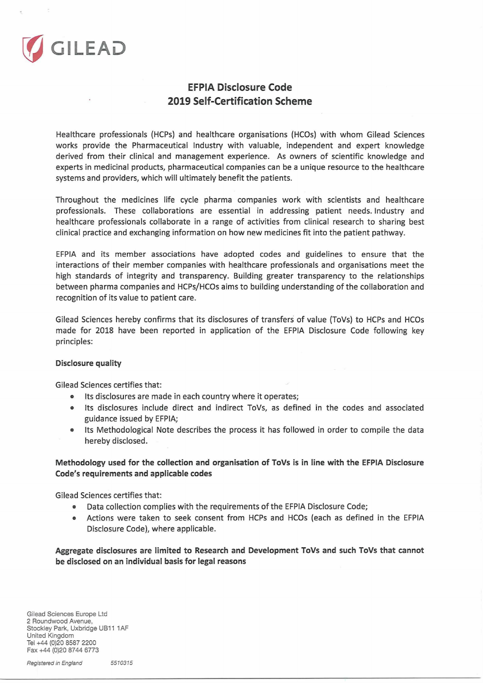

## **EFPIA Disclosure Code 2019 Self-Certification Scheme**

Healthcare professionals (HCPs) and healthcare organisations (HCOs) with whom Gilead Sciences works provide the Pharmaceutical Industry with valuable, independent and expert knowledge derived from their clinical and management experience. As owners of scientific knowledge and experts in medicinal products, pharmaceutical companies can be <sup>a</sup> unique resource to the healthcare systems and providers, which will ultimately benefit the patients.

Throughout the medicines life cycle pharma companies work with scientists and healthcare professionals. These collaborations are essential in addressing patient needs. Industry and healthcare professionals collaborate in <sup>a</sup> range of activities from clinical research to sharing best clinical practice and exchanging information on how new medicines fit into the patient pathway.

EFPIA and its member associations have adopted codes and guidelines to ensure that the interactions of their member companies with healthcare professionals and organisations meet the high standards of integrity and transparency. Building greater transparency to the relationships between pharma companies and HCPs/HCOs aims to building understanding ofthe collaboration and recognition of its value to patient care.

Gilead Sciences hereby confirms that its disclosures of transfers of value (ToVs) to HCPs and HCOs made for 2018 have been reported in application of the EFPIA Disclosure Code following key principles:

## **Disclosure quality**

Gilead Sciences certifies that:

- ® Its disclosures are made in each country where it operates;
- Its disclosures include direct and indirect ToVs, as defined in the codes and associated guidance issued by EFPIA;
- Its Methodological Note describes the process it has followed in order to compile the data hereby disclosed.

## **Methodology used for the collection and organisation of ToVs is in line with the EFPIA Disclosure Code's requirements and applicable codes**

Gilead Sciences certifies that:

- ® Data collection complies with the requirements ofthe EFPIA Disclosure Code;
- Actions were taken to seek consent from HCPs and HCOs (each as defined in the EFPIA Disclosure Code), where applicable.

**Aggregate disclosures are limited to Research and Development ToVs and such ToVs that cannot be disclosed on an individual basis for legal reasons**

Gilead Sciences Europe Ltd 2 Roundwood Avenue, Stockley Park, Uxbridge UB11 1AF United Kingdom Tel +44 (0)20 8587 2200 Fax +44 (0)20 8744 6773